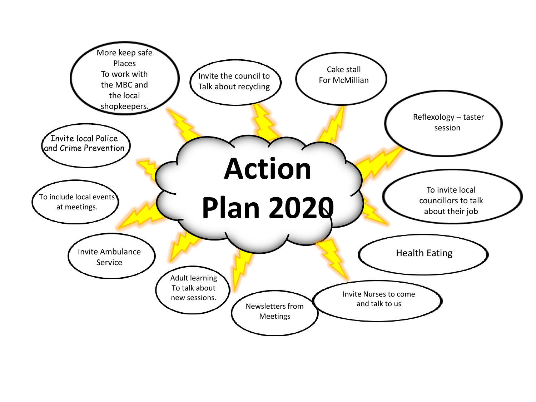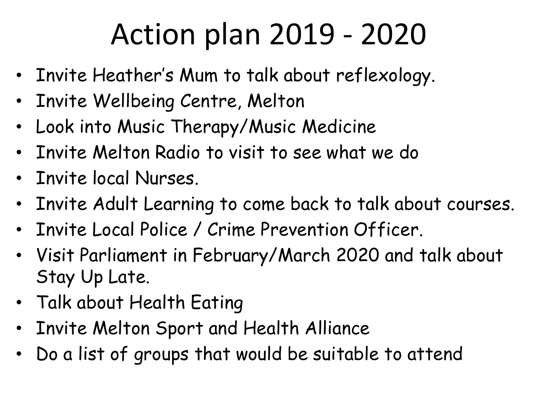## Action plan 2019 - 2020

- Invite Heather's Mum to talk about reflexology.
- Invite Wellbeing Centre, Melton
- Look into Music Therapy/Music Medicine
- Invite Melton Radio to visit to see what we do
- Invite local Nurses.
- Invite Adult Learning to come back to talk about courses.
- Invite Local Police / Crime Prevention Officer.
- Visit Parliament in February/March 2020 and talk about Stay Up Late.
- Talk about Health Eating
- Invite Melton Sport and Health Alliance
- Do a list of groups that would be suitable to attend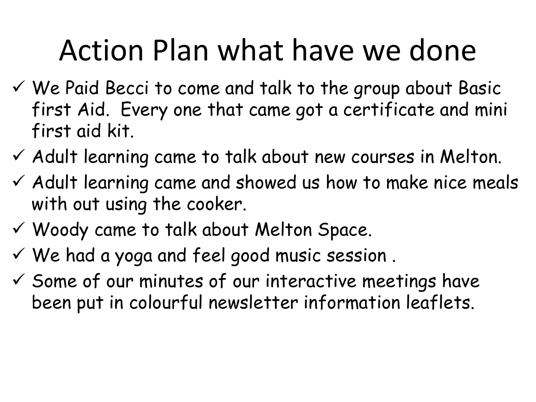## Action Plan what have we done

- ✓ We Paid Becci to come and talk to the group about Basic first Aid. Every one that came got a certificate and mini first aid kit.
- $\checkmark$  Adult learning came to talk about new courses in Melton.
- $\checkmark$  Adult learning came and showed us how to make nice meals with out using the cooker.
- ✓ Woody came to talk about Melton Space.
- ✓ We had a yoga and feel good music session .
- $\checkmark$  Some of our minutes of our interactive meetings have been put in colourful newsletter information leaflets.